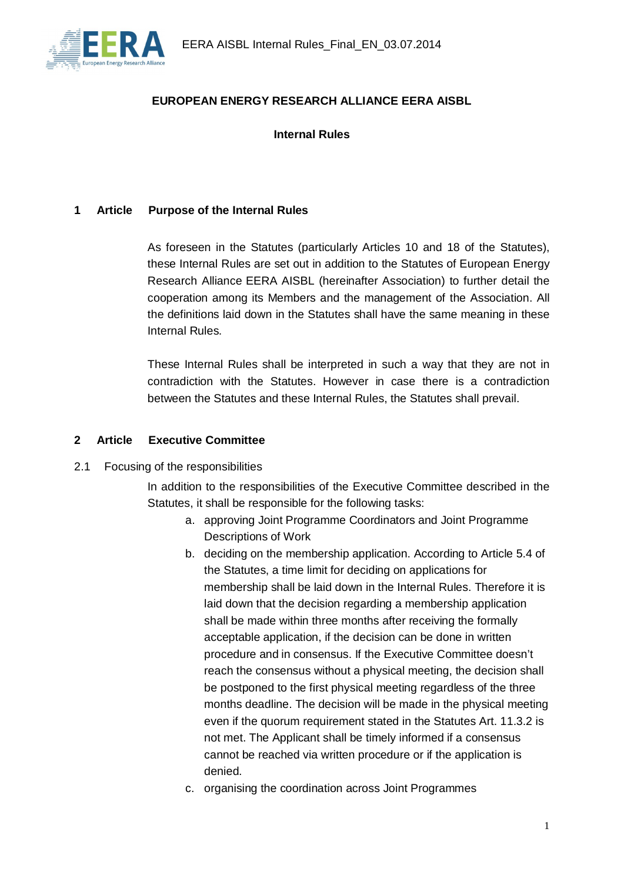

### **EUROPEAN ENERGY RESEARCH ALLIANCE EERA AISBL**

**Internal Rules**

#### **1 Article Purpose of the Internal Rules**

As foreseen in the Statutes (particularly Articles 10 and 18 of the Statutes), these Internal Rules are set out in addition to the Statutes of European Energy Research Alliance EERA AISBL (hereinafter Association) to further detail the cooperation among its Members and the management of the Association. All the definitions laid down in the Statutes shall have the same meaning in these Internal Rules.

These Internal Rules shall be interpreted in such a way that they are not in contradiction with the Statutes. However in case there is a contradiction between the Statutes and these Internal Rules, the Statutes shall prevail.

#### **2 Article Executive Committee**

2.1 Focusing of the responsibilities

In addition to the responsibilities of the Executive Committee described in the Statutes, it shall be responsible for the following tasks:

- a. approving Joint Programme Coordinators and Joint Programme Descriptions of Work
- b. deciding on the membership application. According to Article 5.4 of the Statutes, a time limit for deciding on applications for membership shall be laid down in the Internal Rules. Therefore it is laid down that the decision regarding a membership application shall be made within three months after receiving the formally acceptable application, if the decision can be done in written procedure and in consensus. If the Executive Committee doesn't reach the consensus without a physical meeting, the decision shall be postponed to the first physical meeting regardless of the three months deadline. The decision will be made in the physical meeting even if the quorum requirement stated in the Statutes Art. 11.3.2 is not met. The Applicant shall be timely informed if a consensus cannot be reached via written procedure or if the application is denied.
- c. organising the coordination across Joint Programmes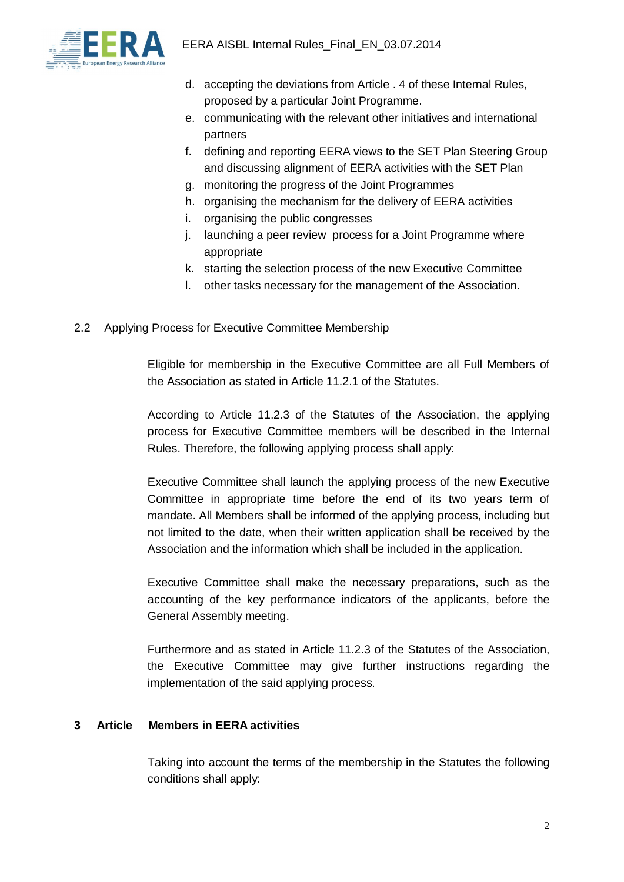

- d. accepting the deviations from Article . 4 of these Internal Rules, proposed by a particular Joint Programme.
- e. communicating with the relevant other initiatives and international partners
- f. defining and reporting EERA views to the SET Plan Steering Group and discussing alignment of EERA activities with the SET Plan
- g. monitoring the progress of the Joint Programmes
- h. organising the mechanism for the delivery of EERA activities
- i. organising the public congresses
- j. launching a peer review process for a Joint Programme where appropriate
- k. starting the selection process of the new Executive Committee
- l. other tasks necessary for the management of the Association.
- 2.2 Applying Process for Executive Committee Membership

Eligible for membership in the Executive Committee are all Full Members of the Association as stated in Article 11.2.1 of the Statutes.

According to Article 11.2.3 of the Statutes of the Association, the applying process for Executive Committee members will be described in the Internal Rules. Therefore, the following applying process shall apply:

Executive Committee shall launch the applying process of the new Executive Committee in appropriate time before the end of its two years term of mandate. All Members shall be informed of the applying process, including but not limited to the date, when their written application shall be received by the Association and the information which shall be included in the application.

Executive Committee shall make the necessary preparations, such as the accounting of the key performance indicators of the applicants, before the General Assembly meeting.

Furthermore and as stated in Article 11.2.3 of the Statutes of the Association, the Executive Committee may give further instructions regarding the implementation of the said applying process.

#### **3 Article Members in EERA activities**

Taking into account the terms of the membership in the Statutes the following conditions shall apply: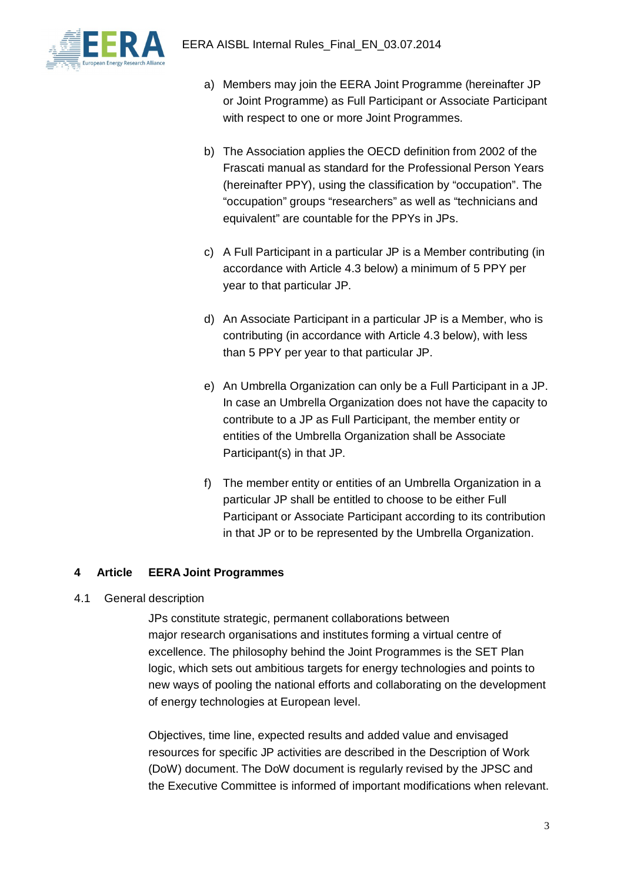

- a) Members may join the EERA Joint Programme (hereinafter JP or Joint Programme) as Full Participant or Associate Participant with respect to one or more Joint Programmes.
- b) The Association applies the OECD definition from 2002 of the Frascati manual as standard for the Professional Person Years (hereinafter PPY), using the classification by "occupation". The "occupation" groups "researchers" as well as "technicians and equivalent" are countable for the PPYs in JPs.
- c) A Full Participant in a particular JP is a Member contributing (in accordance with Article 4.3 below) a minimum of 5 PPY per year to that particular JP.
- d) An Associate Participant in a particular JP is a Member, who is contributing (in accordance with Article 4.3 below), with less than 5 PPY per year to that particular JP.
- e) An Umbrella Organization can only be a Full Participant in a JP. In case an Umbrella Organization does not have the capacity to contribute to a JP as Full Participant, the member entity or entities of the Umbrella Organization shall be Associate Participant(s) in that JP.
- f) The member entity or entities of an Umbrella Organization in a particular JP shall be entitled to choose to be either Full Participant or Associate Participant according to its contribution in that JP or to be represented by the Umbrella Organization.

### **4 Article EERA Joint Programmes**

4.1 General description

JPs constitute strategic, permanent collaborations between major research organisations and institutes forming a virtual centre of excellence. The philosophy behind the Joint Programmes is the SET Plan logic, which sets out ambitious targets for energy technologies and points to new ways of pooling the national efforts and collaborating on the development of energy technologies at European level.

Objectives, time line, expected results and added value and envisaged resources for specific JP activities are described in the Description of Work (DoW) document. The DoW document is regularly revised by the JPSC and the Executive Committee is informed of important modifications when relevant.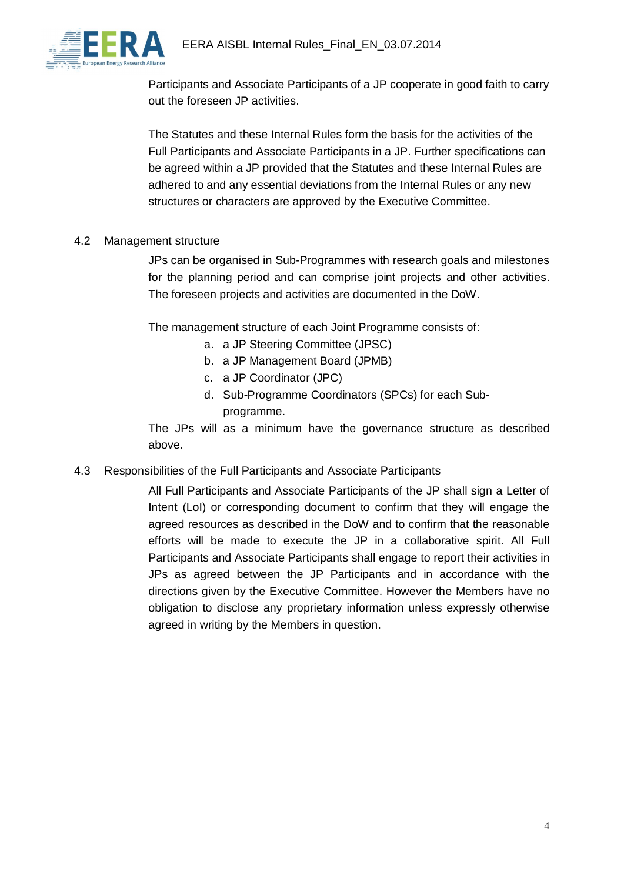

Participants and Associate Participants of a JP cooperate in good faith to carry out the foreseen JP activities.

The Statutes and these Internal Rules form the basis for the activities of the Full Participants and Associate Participants in a JP. Further specifications can be agreed within a JP provided that the Statutes and these Internal Rules are adhered to and any essential deviations from the Internal Rules or any new structures or characters are approved by the Executive Committee.

#### 4.2 Management structure

JPs can be organised in Sub-Programmes with research goals and milestones for the planning period and can comprise joint projects and other activities. The foreseen projects and activities are documented in the DoW.

The management structure of each Joint Programme consists of:

- a. a JP Steering Committee (JPSC)
- b. a JP Management Board (JPMB)
- c. a JP Coordinator (JPC)
- d. Sub-Programme Coordinators (SPCs) for each Subprogramme.

The JPs will as a minimum have the governance structure as described above.

4.3 Responsibilities of the Full Participants and Associate Participants

All Full Participants and Associate Participants of the JP shall sign a Letter of Intent (LoI) or corresponding document to confirm that they will engage the agreed resources as described in the DoW and to confirm that the reasonable efforts will be made to execute the JP in a collaborative spirit. All Full Participants and Associate Participants shall engage to report their activities in JPs as agreed between the JP Participants and in accordance with the directions given by the Executive Committee. However the Members have no obligation to disclose any proprietary information unless expressly otherwise agreed in writing by the Members in question.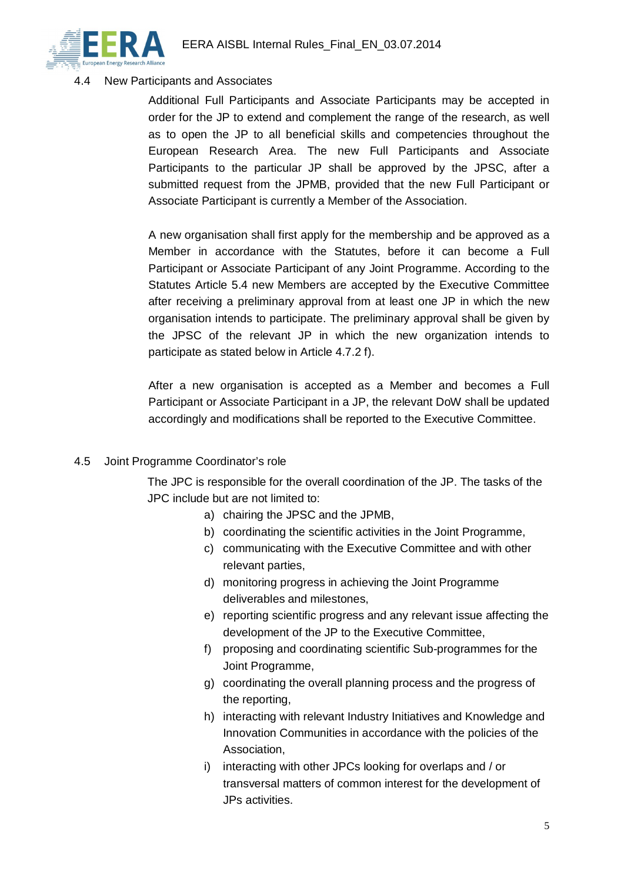

### 4.4 New Participants and Associates

Additional Full Participants and Associate Participants may be accepted in order for the JP to extend and complement the range of the research, as well as to open the JP to all beneficial skills and competencies throughout the European Research Area. The new Full Participants and Associate Participants to the particular JP shall be approved by the JPSC, after a submitted request from the JPMB, provided that the new Full Participant or Associate Participant is currently a Member of the Association.

A new organisation shall first apply for the membership and be approved as a Member in accordance with the Statutes, before it can become a Full Participant or Associate Participant of any Joint Programme. According to the Statutes Article 5.4 new Members are accepted by the Executive Committee after receiving a preliminary approval from at least one JP in which the new organisation intends to participate. The preliminary approval shall be given by the JPSC of the relevant JP in which the new organization intends to participate as stated below in Article 4.7.2 f).

After a new organisation is accepted as a Member and becomes a Full Participant or Associate Participant in a JP, the relevant DoW shall be updated accordingly and modifications shall be reported to the Executive Committee.

### 4.5 Joint Programme Coordinator's role

The JPC is responsible for the overall coordination of the JP. The tasks of the JPC include but are not limited to:

- a) chairing the JPSC and the JPMB,
- b) coordinating the scientific activities in the Joint Programme,
- c) communicating with the Executive Committee and with other relevant parties,
- d) monitoring progress in achieving the Joint Programme deliverables and milestones,
- e) reporting scientific progress and any relevant issue affecting the development of the JP to the Executive Committee,
- f) proposing and coordinating scientific Sub-programmes for the Joint Programme,
- g) coordinating the overall planning process and the progress of the reporting,
- h) interacting with relevant Industry Initiatives and Knowledge and Innovation Communities in accordance with the policies of the Association,
- i) interacting with other JPCs looking for overlaps and / or transversal matters of common interest for the development of JPs activities.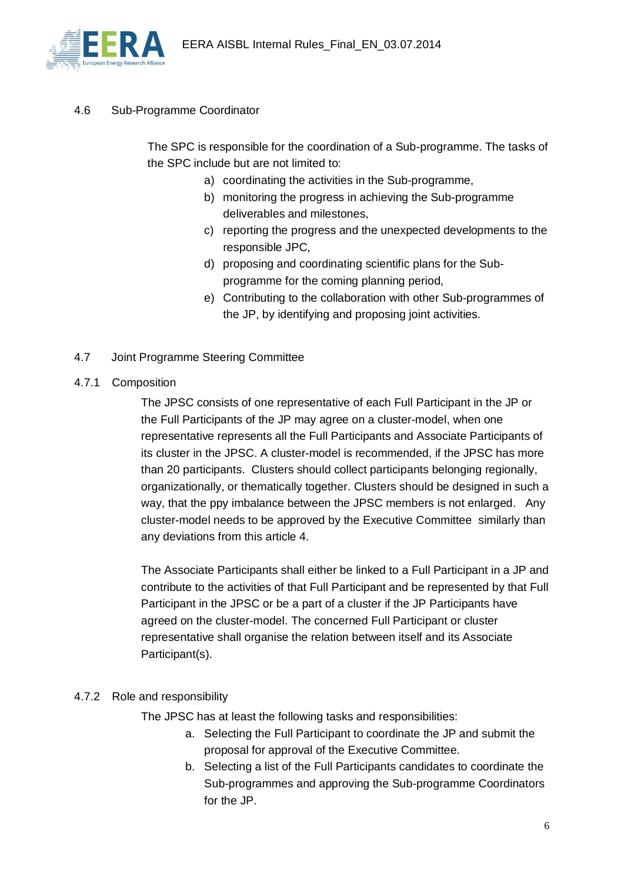

4.6 Sub-Programme Coordinator

The SPC is responsible for the coordination of a Sub-programme. The tasks of the SPC include but are not limited to:

- a) coordinating the activities in the Sub-programme,
- b) monitoring the progress in achieving the Sub-programme deliverables and milestones,
- c) reporting the progress and the unexpected developments to the responsible JPC,
- d) proposing and coordinating scientific plans for the Subprogramme for the coming planning period,
- e) Contributing to the collaboration with other Sub-programmes of the JP, by identifying and proposing joint activities.
- 4.7 Joint Programme Steering Committee
- 4.7.1 Composition

The JPSC consists of one representative of each Full Participant in the JP or the Full Participants of the JP may agree on a cluster-model, when one representative represents all the Full Participants and Associate Participants of its cluster in the JPSC. A cluster-model is recommended, if the JPSC has more than 20 participants. Clusters should collect participants belonging regionally, organizationally, or thematically together. Clusters should be designed in such a way, that the ppy imbalance between the JPSC members is not enlarged. Any cluster-model needs to be approved by the Executive Committee similarly than any deviations from this article 4.

The Associate Participants shall either be linked to a Full Participant in a JP and contribute to the activities of that Full Participant and be represented by that Full Participant in the JPSC or be a part of a cluster if the JP Participants have agreed on the cluster-model. The concerned Full Participant or cluster representative shall organise the relation between itself and its Associate Participant(s).

### 4.7.2 Role and responsibility

The JPSC has at least the following tasks and responsibilities:

- a. Selecting the Full Participant to coordinate the JP and submit the proposal for approval of the Executive Committee.
- b. Selecting a list of the Full Participants candidates to coordinate the Sub-programmes and approving the Sub-programme Coordinators for the JP.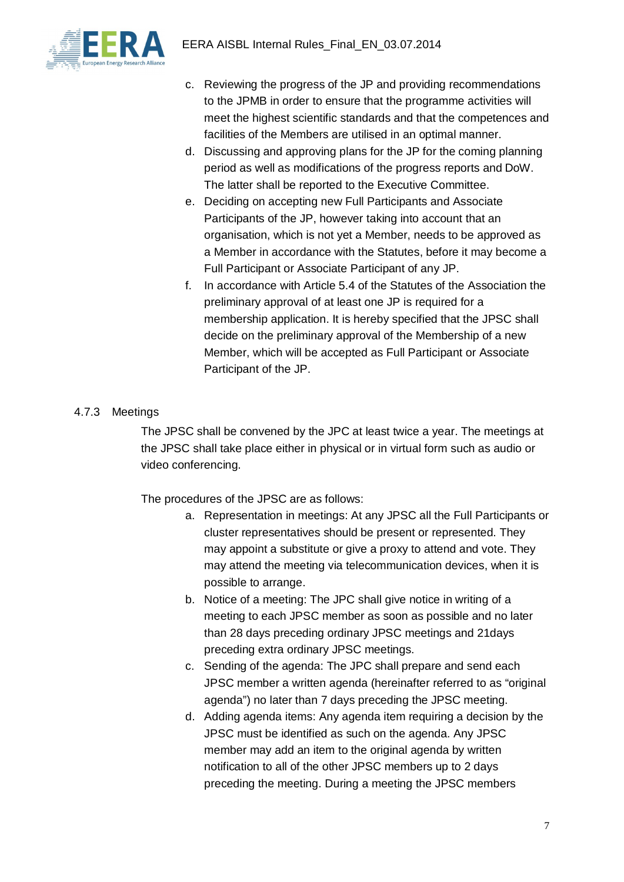

- c. Reviewing the progress of the JP and providing recommendations to the JPMB in order to ensure that the programme activities will meet the highest scientific standards and that the competences and facilities of the Members are utilised in an optimal manner.
- d. Discussing and approving plans for the JP for the coming planning period as well as modifications of the progress reports and DoW. The latter shall be reported to the Executive Committee.
- e. Deciding on accepting new Full Participants and Associate Participants of the JP, however taking into account that an organisation, which is not yet a Member, needs to be approved as a Member in accordance with the Statutes, before it may become a Full Participant or Associate Participant of any JP.
- f. In accordance with Article 5.4 of the Statutes of the Association the preliminary approval of at least one JP is required for a membership application. It is hereby specified that the JPSC shall decide on the preliminary approval of the Membership of a new Member, which will be accepted as Full Participant or Associate Participant of the JP.

## 4.7.3 Meetings

The JPSC shall be convened by the JPC at least twice a year. The meetings at the JPSC shall take place either in physical or in virtual form such as audio or video conferencing.

The procedures of the JPSC are as follows:

- a. Representation in meetings: At any JPSC all the Full Participants or cluster representatives should be present or represented. They may appoint a substitute or give a proxy to attend and vote. They may attend the meeting via telecommunication devices, when it is possible to arrange.
- b. Notice of a meeting: The JPC shall give notice in writing of a meeting to each JPSC member as soon as possible and no later than 28 days preceding ordinary JPSC meetings and 21days preceding extra ordinary JPSC meetings.
- c. Sending of the agenda: The JPC shall prepare and send each JPSC member a written agenda (hereinafter referred to as "original agenda") no later than 7 days preceding the JPSC meeting.
- d. Adding agenda items: Any agenda item requiring a decision by the JPSC must be identified as such on the agenda. Any JPSC member may add an item to the original agenda by written notification to all of the other JPSC members up to 2 days preceding the meeting. During a meeting the JPSC members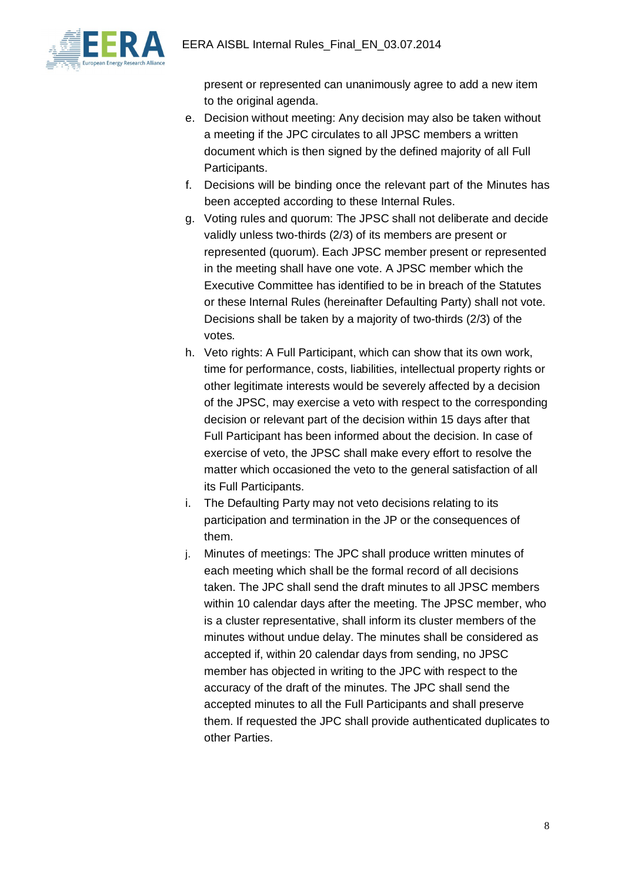

present or represented can unanimously agree to add a new item to the original agenda.

- e. Decision without meeting: Any decision may also be taken without a meeting if the JPC circulates to all JPSC members a written document which is then signed by the defined majority of all Full Participants.
- f. Decisions will be binding once the relevant part of the Minutes has been accepted according to these Internal Rules.
- g. Voting rules and quorum: The JPSC shall not deliberate and decide validly unless two-thirds (2/3) of its members are present or represented (quorum). Each JPSC member present or represented in the meeting shall have one vote. A JPSC member which the Executive Committee has identified to be in breach of the Statutes or these Internal Rules (hereinafter Defaulting Party) shall not vote. Decisions shall be taken by a majority of two-thirds (2/3) of the votes.
- h. Veto rights: A Full Participant, which can show that its own work, time for performance, costs, liabilities, intellectual property rights or other legitimate interests would be severely affected by a decision of the JPSC, may exercise a veto with respect to the corresponding decision or relevant part of the decision within 15 days after that Full Participant has been informed about the decision. In case of exercise of veto, the JPSC shall make every effort to resolve the matter which occasioned the veto to the general satisfaction of all its Full Participants.
- i. The Defaulting Party may not veto decisions relating to its participation and termination in the JP or the consequences of them.
- j. Minutes of meetings: The JPC shall produce written minutes of each meeting which shall be the formal record of all decisions taken. The JPC shall send the draft minutes to all JPSC members within 10 calendar days after the meeting. The JPSC member, who is a cluster representative, shall inform its cluster members of the minutes without undue delay. The minutes shall be considered as accepted if, within 20 calendar days from sending, no JPSC member has objected in writing to the JPC with respect to the accuracy of the draft of the minutes. The JPC shall send the accepted minutes to all the Full Participants and shall preserve them. If requested the JPC shall provide authenticated duplicates to other Parties.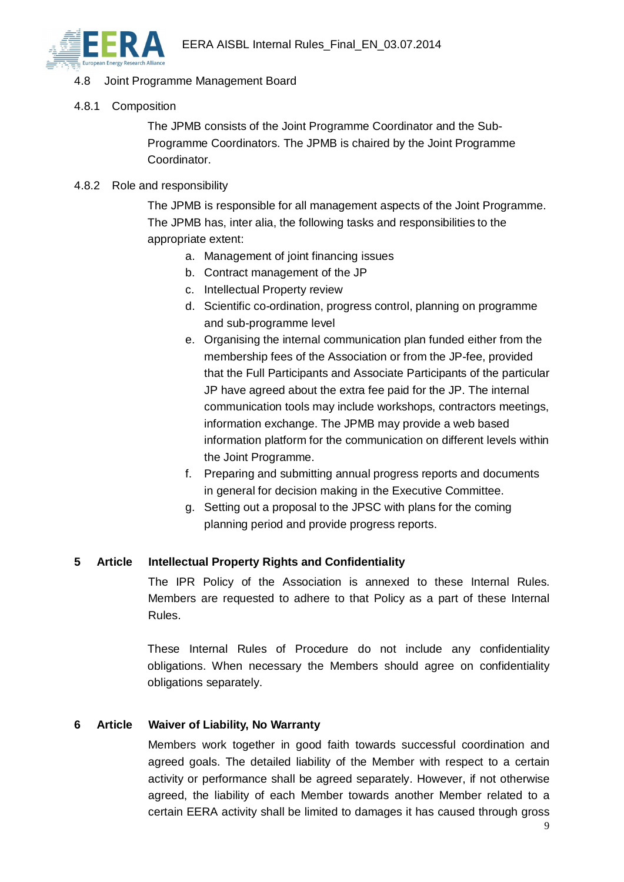

### 4.8 Joint Programme Management Board

4.8.1 Composition

The JPMB consists of the Joint Programme Coordinator and the Sub-Programme Coordinators. The JPMB is chaired by the Joint Programme Coordinator.

#### 4.8.2 Role and responsibility

The JPMB is responsible for all management aspects of the Joint Programme. The JPMB has, inter alia, the following tasks and responsibilities to the appropriate extent:

- a. Management of joint financing issues
- b. Contract management of the JP
- c. Intellectual Property review
- d. Scientific co-ordination, progress control, planning on programme and sub-programme level
- e. Organising the internal communication plan funded either from the membership fees of the Association or from the JP-fee, provided that the Full Participants and Associate Participants of the particular JP have agreed about the extra fee paid for the JP. The internal communication tools may include workshops, contractors meetings, information exchange. The JPMB may provide a web based information platform for the communication on different levels within the Joint Programme.
- f. Preparing and submitting annual progress reports and documents in general for decision making in the Executive Committee.
- g. Setting out a proposal to the JPSC with plans for the coming planning period and provide progress reports.

#### **5 Article Intellectual Property Rights and Confidentiality**

The IPR Policy of the Association is annexed to these Internal Rules. Members are requested to adhere to that Policy as a part of these Internal Rules.

These Internal Rules of Procedure do not include any confidentiality obligations. When necessary the Members should agree on confidentiality obligations separately.

### **6 Article Waiver of Liability, No Warranty**

Members work together in good faith towards successful coordination and agreed goals. The detailed liability of the Member with respect to a certain activity or performance shall be agreed separately. However, if not otherwise agreed, the liability of each Member towards another Member related to a certain EERA activity shall be limited to damages it has caused through gross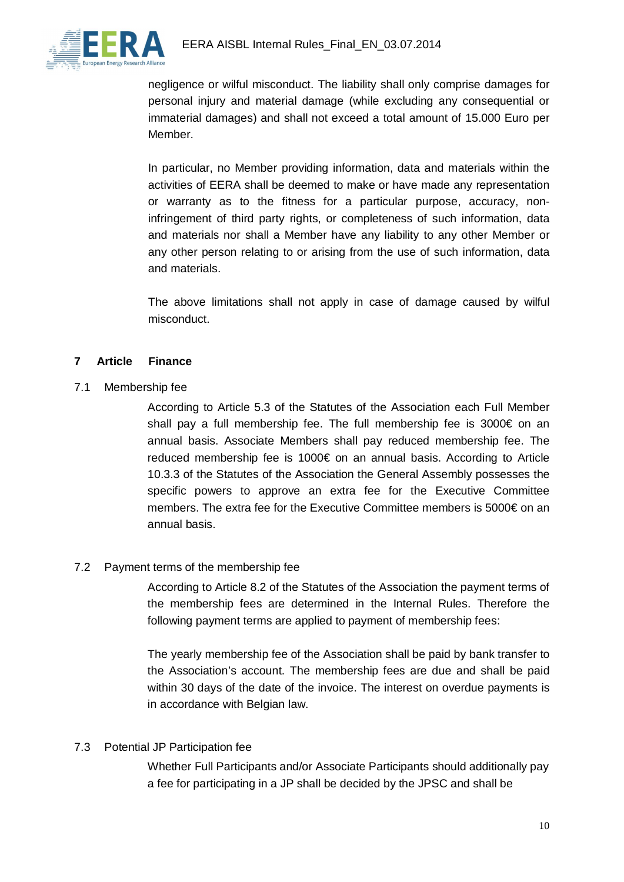

negligence or wilful misconduct. The liability shall only comprise damages for personal injury and material damage (while excluding any consequential or immaterial damages) and shall not exceed a total amount of 15.000 Euro per Member.

In particular, no Member providing information, data and materials within the activities of EERA shall be deemed to make or have made any representation or warranty as to the fitness for a particular purpose, accuracy, noninfringement of third party rights, or completeness of such information, data and materials nor shall a Member have any liability to any other Member or any other person relating to or arising from the use of such information, data and materials.

The above limitations shall not apply in case of damage caused by wilful misconduct.

### **7 Article Finance**

7.1 Membership fee

According to Article 5.3 of the Statutes of the Association each Full Member shall pay a full membership fee. The full membership fee is 3000€ on an annual basis. Associate Members shall pay reduced membership fee. The reduced membership fee is 1000€ on an annual basis. According to Article 10.3.3 of the Statutes of the Association the General Assembly possesses the specific powers to approve an extra fee for the Executive Committee members. The extra fee for the Executive Committee members is 5000€ on an annual basis.

#### 7.2 Payment terms of the membership fee

According to Article 8.2 of the Statutes of the Association the payment terms of the membership fees are determined in the Internal Rules. Therefore the following payment terms are applied to payment of membership fees:

The yearly membership fee of the Association shall be paid by bank transfer to the Association's account. The membership fees are due and shall be paid within 30 days of the date of the invoice. The interest on overdue payments is in accordance with Belgian law.

### 7.3 Potential JP Participation fee

Whether Full Participants and/or Associate Participants should additionally pay a fee for participating in a JP shall be decided by the JPSC and shall be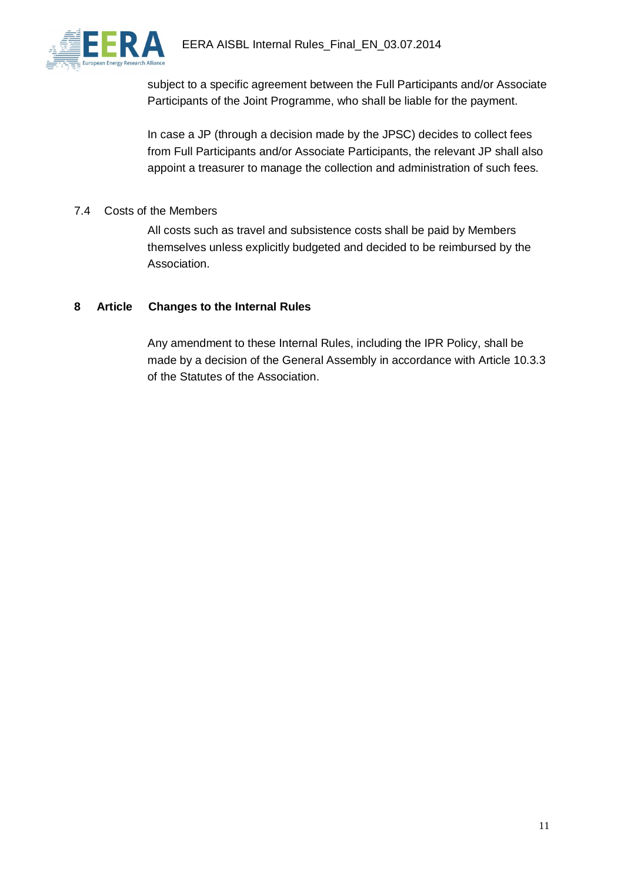

subject to a specific agreement between the Full Participants and/or Associate Participants of the Joint Programme, who shall be liable for the payment.

In case a JP (through a decision made by the JPSC) decides to collect fees from Full Participants and/or Associate Participants, the relevant JP shall also appoint a treasurer to manage the collection and administration of such fees.

#### 7.4 Costs of the Members

All costs such as travel and subsistence costs shall be paid by Members themselves unless explicitly budgeted and decided to be reimbursed by the Association.

#### **8 Article Changes to the Internal Rules**

Any amendment to these Internal Rules, including the IPR Policy, shall be made by a decision of the General Assembly in accordance with Article 10.3.3 of the Statutes of the Association.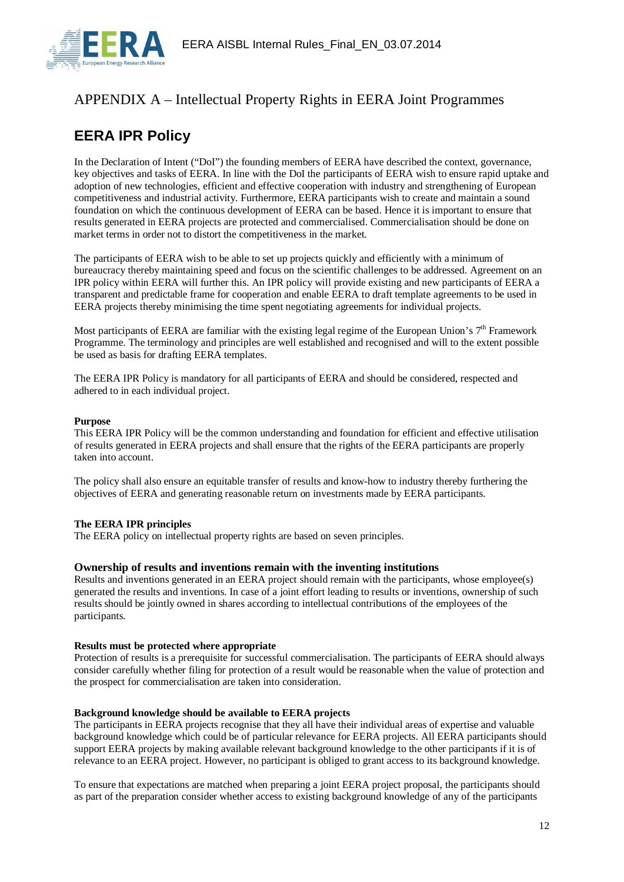

## APPENDIX A – Intellectual Property Rights in EERA Joint Programmes

# **EERA IPR Policy**

In the Declaration of Intent ("DoI") the founding members of EERA have described the context, governance, key objectives and tasks of EERA. In line with the DoI the participants of EERA wish to ensure rapid uptake and adoption of new technologies, efficient and effective cooperation with industry and strengthening of European competitiveness and industrial activity. Furthermore, EERA participants wish to create and maintain a sound foundation on which the continuous development of EERA can be based. Hence it is important to ensure that results generated in EERA projects are protected and commercialised. Commercialisation should be done on market terms in order not to distort the competitiveness in the market.

The participants of EERA wish to be able to set up projects quickly and efficiently with a minimum of bureaucracy thereby maintaining speed and focus on the scientific challenges to be addressed. Agreement on an IPR policy within EERA will further this. An IPR policy will provide existing and new participants of EERA a transparent and predictable frame for cooperation and enable EERA to draft template agreements to be used in EERA projects thereby minimising the time spent negotiating agreements for individual projects.

Most participants of EERA are familiar with the existing legal regime of the European Union's  $7<sup>th</sup>$  Framework Programme. The terminology and principles are well established and recognised and will to the extent possible be used as basis for drafting EERA templates.

The EERA IPR Policy is mandatory for all participants of EERA and should be considered, respected and adhered to in each individual project.

#### **Purpose**

This EERA IPR Policy will be the common understanding and foundation for efficient and effective utilisation of results generated in EERA projects and shall ensure that the rights of the EERA participants are properly taken into account.

The policy shall also ensure an equitable transfer of results and know-how to industry thereby furthering the objectives of EERA and generating reasonable return on investments made by EERA participants.

#### **The EERA IPR principles**

The EERA policy on intellectual property rights are based on seven principles.

#### **Ownership of results and inventions remain with the inventing institutions**

Results and inventions generated in an EERA project should remain with the participants, whose employee(s) generated the results and inventions. In case of a joint effort leading to results or inventions, ownership of such results should be jointly owned in shares according to intellectual contributions of the employees of the participants.

#### **Results must be protected where appropriate**

Protection of results is a prerequisite for successful commercialisation. The participants of EERA should always consider carefully whether filing for protection of a result would be reasonable when the value of protection and the prospect for commercialisation are taken into consideration.

#### **Background knowledge should be available to EERA projects**

The participants in EERA projects recognise that they all have their individual areas of expertise and valuable background knowledge which could be of particular relevance for EERA projects. All EERA participants should support EERA projects by making available relevant background knowledge to the other participants if it is of relevance to an EERA project. However, no participant is obliged to grant access to its background knowledge.

To ensure that expectations are matched when preparing a joint EERA project proposal, the participants should as part of the preparation consider whether access to existing background knowledge of any of the participants